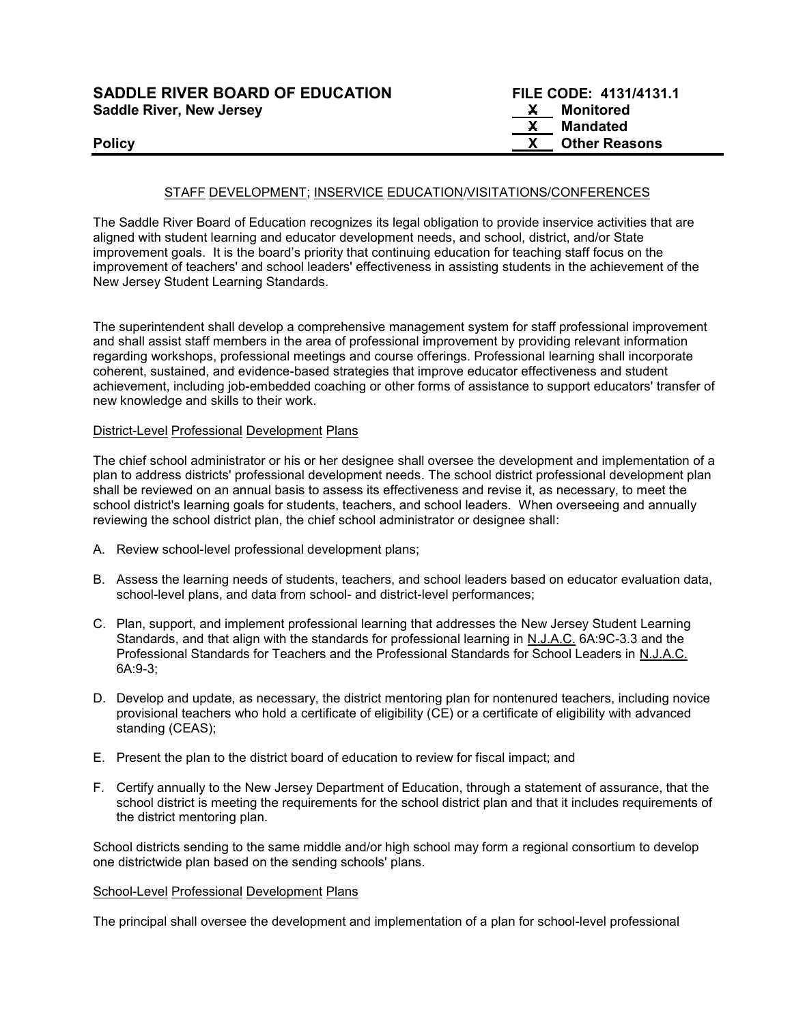| <b>SADDLE RIVER BOARD OF EDUCATION</b> |    | FILE CODE: 4131/4131.1 |
|----------------------------------------|----|------------------------|
| <b>Saddle River, New Jersey</b>        | X. | Monitored              |
|                                        |    | Mandated               |
| <b>Policy</b>                          |    | <b>Other Reasons</b>   |

The Saddle River Board of Education recognizes its legal obligation to provide inservice activities that are aligned with student learning and educator development needs, and school, district, and/or State improvement goals. It is the board's priority that continuing education for teaching staff focus on the improvement of teachers' and school leaders' effectiveness in assisting students in the achievement of the New Jersey Student Learning Standards.

The superintendent shall develop a comprehensive management system for staff professional improvement and shall assist staff members in the area of professional improvement by providing relevant information regarding workshops, professional meetings and course offerings. Professional learning shall incorporate coherent, sustained, and evidence-based strategies that improve educator effectiveness and student achievement, including job-embedded coaching or other forms of assistance to support educators' transfer of new knowledge and skills to their work.

#### District-Level Professional Development Plans

The chief school administrator or his or her designee shall oversee the development and implementation of a plan to address districts' professional development needs. The school district professional development plan shall be reviewed on an annual basis to assess its effectiveness and revise it, as necessary, to meet the school district's learning goals for students, teachers, and school leaders. When overseeing and annually reviewing the school district plan, the chief school administrator or designee shall:

- A. Review school-level professional development plans;
- B. Assess the learning needs of students, teachers, and school leaders based on educator evaluation data, school-level plans, and data from school- and district-level performances;
- C. Plan, support, and implement professional learning that addresses the New Jersey Student Learning Standards, and that align with the standards for professional learning in N.J.A.C. 6A:9C-3.3 and the Professional Standards for Teachers and the Professional Standards for School Leaders in N.J.A.C. 6A:9-3;
- D. Develop and update, as necessary, the district mentoring plan for nontenured teachers, including novice provisional teachers who hold a certificate of eligibility (CE) or a certificate of eligibility with advanced standing (CEAS);
- E. Present the plan to the district board of education to review for fiscal impact; and
- F. Certify annually to the New Jersey Department of Education, through a statement of assurance, that the school district is meeting the requirements for the school district plan and that it includes requirements of the district mentoring plan.

School districts sending to the same middle and/or high school may form a regional consortium to develop one districtwide plan based on the sending schools' plans.

#### School-Level Professional Development Plans

The principal shall oversee the development and implementation of a plan for school-level professional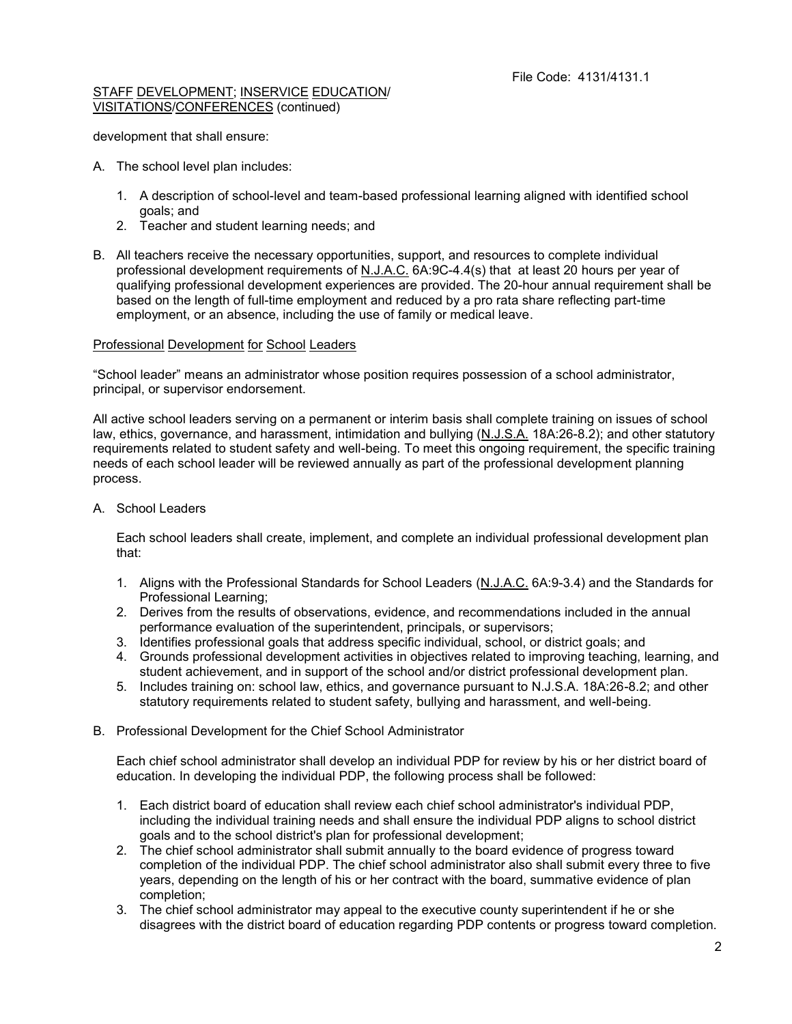development that shall ensure:

- A. The school level plan includes:
	- 1. A description of school-level and team-based professional learning aligned with identified school goals; and
	- 2. Teacher and student learning needs; and
- B. All teachers receive the necessary opportunities, support, and resources to complete individual professional development requirements of N.J.A.C. 6A:9C-4.4(s) that at least 20 hours per year of qualifying professional development experiences are provided. The 20-hour annual requirement shall be based on the length of full-time employment and reduced by a pro rata share reflecting part-time employment, or an absence, including the use of family or medical leave.

# Professional Development for School Leaders

"School leader" means an administrator whose position requires possession of a school administrator, principal, or supervisor endorsement.

All active school leaders serving on a permanent or interim basis shall complete training on issues of school law, ethics, governance, and harassment, intimidation and bullying (N.J.S.A. 18A:26-8.2); and other statutory requirements related to student safety and well-being. To meet this ongoing requirement, the specific training needs of each school leader will be reviewed annually as part of the professional development planning process.

A. School Leaders

Each school leaders shall create, implement, and complete an individual professional development plan that:

- 1. Aligns with the Professional Standards for School Leaders (N.J.A.C. 6A:9-3.4) and the Standards for Professional Learning;
- 2. Derives from the results of observations, evidence, and recommendations included in the annual performance evaluation of the superintendent, principals, or supervisors;
- 3. Identifies professional goals that address specific individual, school, or district goals; and
- 4. Grounds professional development activities in objectives related to improving teaching, learning, and student achievement, and in support of the school and/or district professional development plan.
- 5. Includes training on: school law, ethics, and governance pursuant to N.J.S.A. 18A:26-8.2; and other statutory requirements related to student safety, bullying and harassment, and well-being.
- B. Professional Development for the Chief School Administrator

Each chief school administrator shall develop an individual PDP for review by his or her district board of education. In developing the individual PDP, the following process shall be followed:

- 1. Each district board of education shall review each chief school administrator's individual PDP, including the individual training needs and shall ensure the individual PDP aligns to school district goals and to the school district's plan for professional development;
- 2. The chief school administrator shall submit annually to the board evidence of progress toward completion of the individual PDP. The chief school administrator also shall submit every three to five years, depending on the length of his or her contract with the board, summative evidence of plan completion;
- 3. The chief school administrator may appeal to the executive county superintendent if he or she disagrees with the district board of education regarding PDP contents or progress toward completion.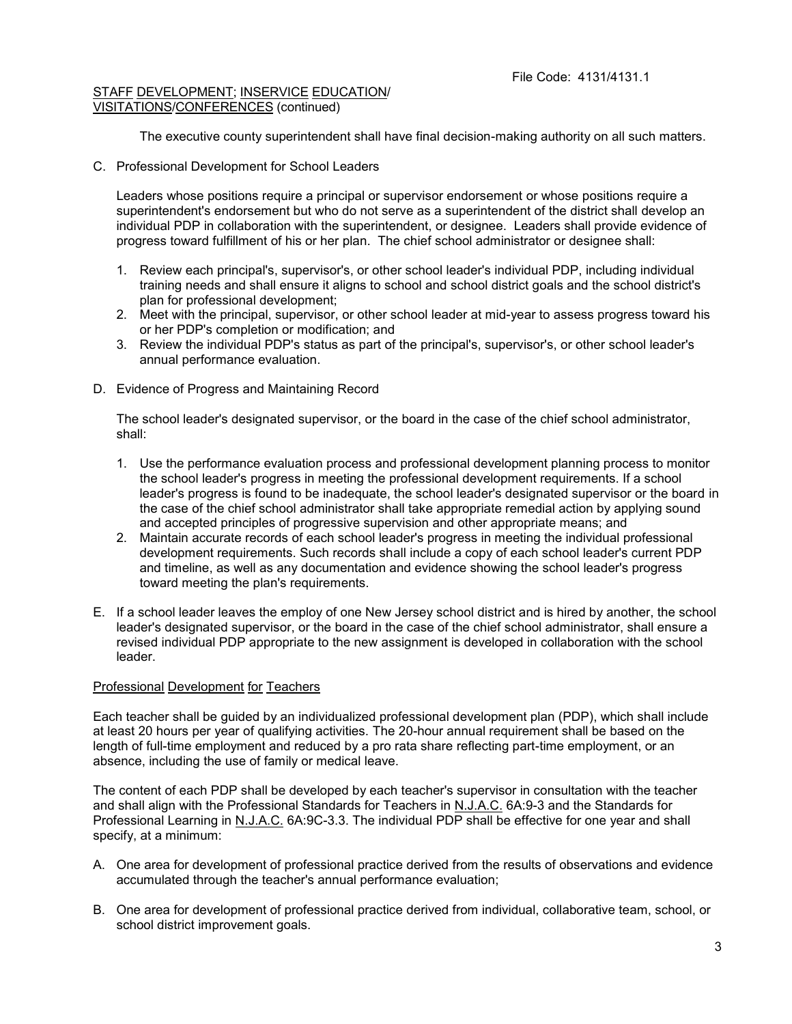The executive county superintendent shall have final decision-making authority on all such matters.

C. Professional Development for School Leaders

Leaders whose positions require a principal or supervisor endorsement or whose positions require a superintendent's endorsement but who do not serve as a superintendent of the district shall develop an individual PDP in collaboration with the superintendent, or designee. Leaders shall provide evidence of progress toward fulfillment of his or her plan. The chief school administrator or designee shall:

- 1. Review each principal's, supervisor's, or other school leader's individual PDP, including individual training needs and shall ensure it aligns to school and school district goals and the school district's plan for professional development;
- 2. Meet with the principal, supervisor, or other school leader at mid-year to assess progress toward his or her PDP's completion or modification; and
- 3. Review the individual PDP's status as part of the principal's, supervisor's, or other school leader's annual performance evaluation.
- D. Evidence of Progress and Maintaining Record

The school leader's designated supervisor, or the board in the case of the chief school administrator, shall:

- 1. Use the performance evaluation process and professional development planning process to monitor the school leader's progress in meeting the professional development requirements. If a school leader's progress is found to be inadequate, the school leader's designated supervisor or the board in the case of the chief school administrator shall take appropriate remedial action by applying sound and accepted principles of progressive supervision and other appropriate means; and
- 2. Maintain accurate records of each school leader's progress in meeting the individual professional development requirements. Such records shall include a copy of each school leader's current PDP and timeline, as well as any documentation and evidence showing the school leader's progress toward meeting the plan's requirements.
- E. If a school leader leaves the employ of one New Jersey school district and is hired by another, the school leader's designated supervisor, or the board in the case of the chief school administrator, shall ensure a revised individual PDP appropriate to the new assignment is developed in collaboration with the school leader.

### Professional Development for Teachers

Each teacher shall be guided by an individualized professional development plan (PDP), which shall include at least 20 hours per year of qualifying activities. The 20-hour annual requirement shall be based on the length of full-time employment and reduced by a pro rata share reflecting part-time employment, or an absence, including the use of family or medical leave.

The content of each PDP shall be developed by each teacher's supervisor in consultation with the teacher and shall align with the Professional Standards for Teachers in N.J.A.C. 6A:9-3 and the Standards for Professional Learning in N.J.A.C. 6A:9C-3.3. The individual PDP shall be effective for one year and shall specify, at a minimum:

- A. One area for development of professional practice derived from the results of observations and evidence accumulated through the teacher's annual performance evaluation;
- B. One area for development of professional practice derived from individual, collaborative team, school, or school district improvement goals.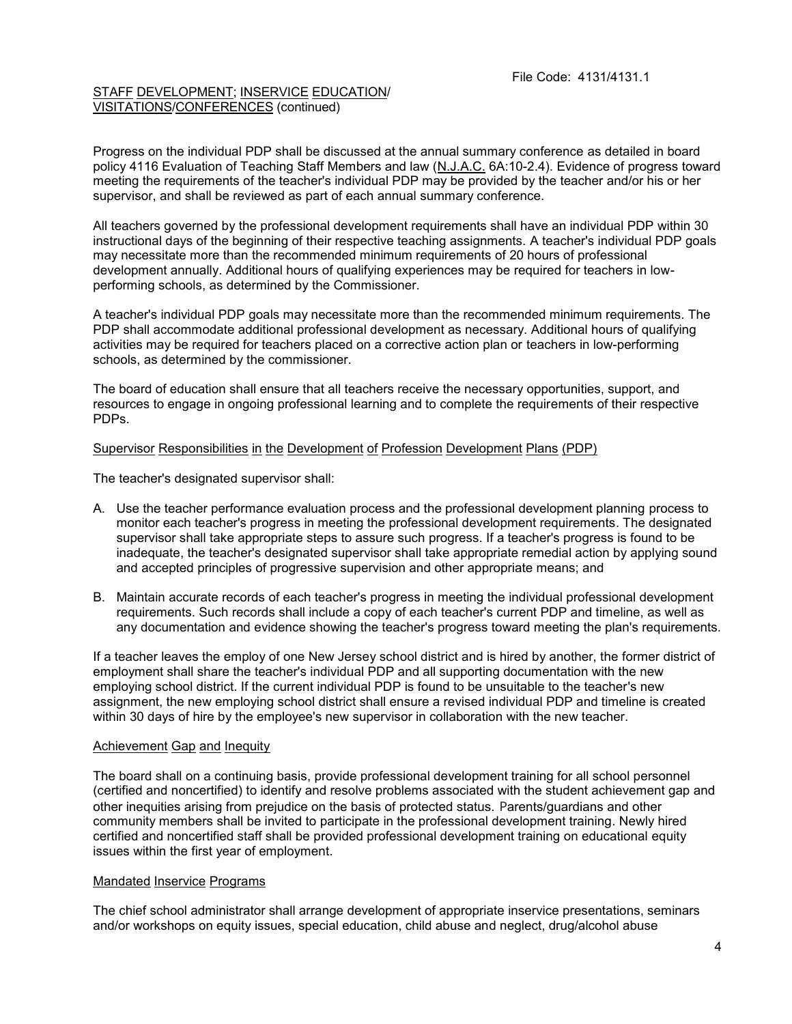Progress on the individual PDP shall be discussed at the annual summary conference as detailed in board policy 4116 Evaluation of Teaching Staff Members and law (N.J.A.C. 6A:10-2.4). Evidence of progress toward meeting the requirements of the teacher's individual PDP may be provided by the teacher and/or his or her supervisor, and shall be reviewed as part of each annual summary conference.

All teachers governed by the professional development requirements shall have an individual PDP within 30 instructional days of the beginning of their respective teaching assignments. A teacher's individual PDP goals may necessitate more than the recommended minimum requirements of 20 hours of professional development annually. Additional hours of qualifying experiences may be required for teachers in lowperforming schools, as determined by the Commissioner.

A teacher's individual PDP goals may necessitate more than the recommended minimum requirements. The PDP shall accommodate additional professional development as necessary. Additional hours of qualifying activities may be required for teachers placed on a corrective action plan or teachers in low-performing schools, as determined by the commissioner.

The board of education shall ensure that all teachers receive the necessary opportunities, support, and resources to engage in ongoing professional learning and to complete the requirements of their respective PDPs.

# Supervisor Responsibilities in the Development of Profession Development Plans (PDP)

The teacher's designated supervisor shall:

- A. Use the teacher performance evaluation process and the professional development planning process to monitor each teacher's progress in meeting the professional development requirements. The designated supervisor shall take appropriate steps to assure such progress. If a teacher's progress is found to be inadequate, the teacher's designated supervisor shall take appropriate remedial action by applying sound and accepted principles of progressive supervision and other appropriate means; and
- B. Maintain accurate records of each teacher's progress in meeting the individual professional development requirements. Such records shall include a copy of each teacher's current PDP and timeline, as well as any documentation and evidence showing the teacher's progress toward meeting the plan's requirements.

If a teacher leaves the employ of one New Jersey school district and is hired by another, the former district of employment shall share the teacher's individual PDP and all supporting documentation with the new employing school district. If the current individual PDP is found to be unsuitable to the teacher's new assignment, the new employing school district shall ensure a revised individual PDP and timeline is created within 30 days of hire by the employee's new supervisor in collaboration with the new teacher.

# Achievement Gap and Inequity

The board shall on a continuing basis, provide professional development training for all school personnel (certified and noncertified) to identify and resolve problems associated with the student achievement gap and other inequities arising from prejudice on the basis of protected status. Parents/guardians and other community members shall be invited to participate in the professional development training. Newly hired certified and noncertified staff shall be provided professional development training on educational equity issues within the first year of employment.

### Mandated Inservice Programs

The chief school administrator shall arrange development of appropriate inservice presentations, seminars and/or workshops on equity issues, special education, child abuse and neglect, drug/alcohol abuse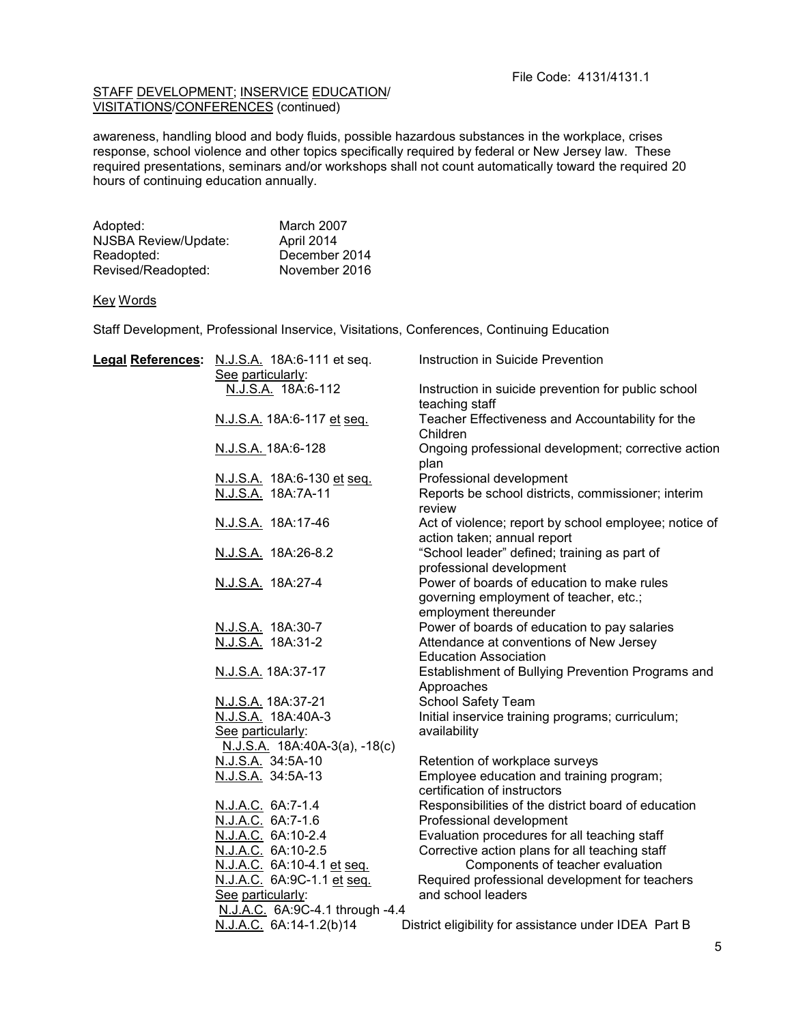awareness, handling blood and body fluids, possible hazardous substances in the workplace, crises response, school violence and other topics specifically required by federal or New Jersey law. These required presentations, seminars and/or workshops shall not count automatically toward the required 20 hours of continuing education annually.

| Adopted:             | March 2007    |
|----------------------|---------------|
| NJSBA Review/Update: | April 2014    |
| Readopted:           | December 2014 |
| Revised/Readopted:   | November 2016 |

# Key Words

Staff Development, Professional Inservice, Visitations, Conferences, Continuing Education

|  | Legal References: N.J.S.A. 18A:6-111 et seq. | Instruction in Suicide Prevention                                                    |
|--|----------------------------------------------|--------------------------------------------------------------------------------------|
|  | See particularly:                            |                                                                                      |
|  | N.J.S.A. 18A:6-112                           | Instruction in suicide prevention for public school                                  |
|  |                                              | teaching staff                                                                       |
|  | N.J.S.A. 18A:6-117 et seq.                   | Teacher Effectiveness and Accountability for the                                     |
|  |                                              | Children                                                                             |
|  | N.J.S.A. 18A:6-128                           | Ongoing professional development; corrective action<br>plan                          |
|  | N.J.S.A. 18A:6-130 et seq.                   | Professional development                                                             |
|  | N.J.S.A. 18A:7A-11                           | Reports be school districts, commissioner; interim<br>review                         |
|  | N.J.S.A. 18A:17-46                           | Act of violence; report by school employee; notice of<br>action taken; annual report |
|  | N.J.S.A. 18A:26-8.2                          | "School leader" defined; training as part of<br>professional development             |
|  | N.J.S.A. 18A:27-4                            | Power of boards of education to make rules                                           |
|  |                                              | governing employment of teacher, etc.;                                               |
|  |                                              | employment thereunder                                                                |
|  | N.J.S.A. 18A:30-7                            | Power of boards of education to pay salaries                                         |
|  | N.J.S.A. 18A:31-2                            | Attendance at conventions of New Jersey                                              |
|  |                                              | <b>Education Association</b>                                                         |
|  | N.J.S.A. 18A:37-17                           | Establishment of Bullying Prevention Programs and<br>Approaches                      |
|  | N.J.S.A. 18A:37-21                           | School Safety Team                                                                   |
|  | N.J.S.A. 18A:40A-3                           | Initial inservice training programs; curriculum;                                     |
|  | See particularly:                            | availability                                                                         |
|  | N.J.S.A. 18A:40A-3(a), -18(c)                |                                                                                      |
|  | N.J.S.A. 34:5A-10                            | Retention of workplace surveys                                                       |
|  | N.J.S.A. 34:5A-13                            | Employee education and training program;<br>certification of instructors             |
|  | N.J.A.C. 6A:7-1.4                            | Responsibilities of the district board of education                                  |
|  | N.J.A.C. 6A:7-1.6                            | Professional development                                                             |
|  | N.J.A.C. 6A:10-2.4                           | Evaluation procedures for all teaching staff                                         |
|  | N.J.A.C. 6A:10-2.5                           | Corrective action plans for all teaching staff                                       |
|  | N.J.A.C. 6A:10-4.1 et seq.                   | Components of teacher evaluation                                                     |
|  | N.J.A.C. 6A:9C-1.1 et seq.                   | Required professional development for teachers                                       |
|  | See particularly:                            | and school leaders                                                                   |
|  | N.J.A.C. 6A:9C-4.1 through -4.4              |                                                                                      |
|  | N.J.A.C. 6A:14-1.2(b)14                      | District eligibility for assistance under IDEA Part B                                |